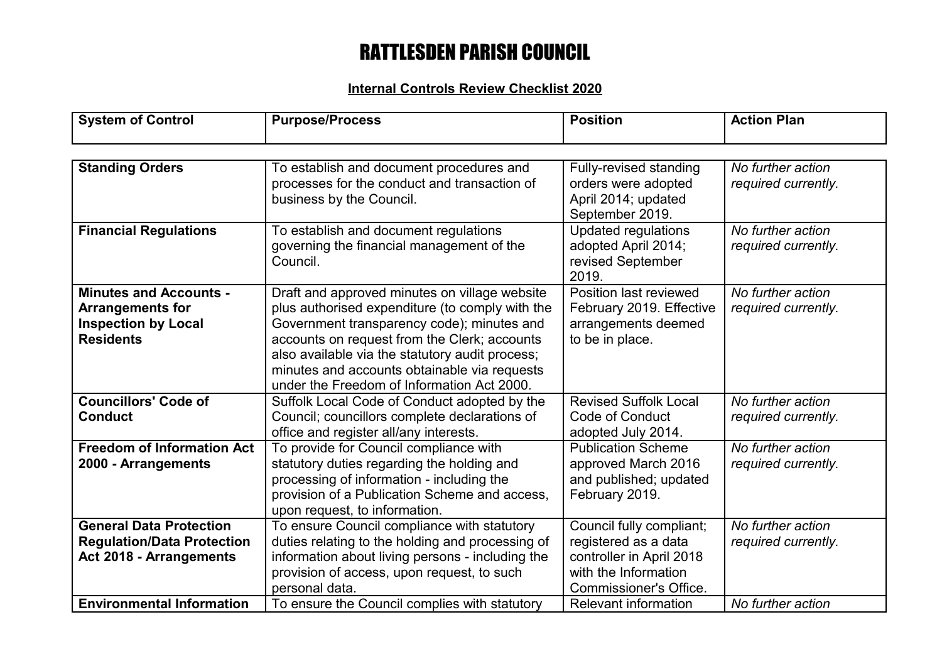# RATTLESDEN PARISH COUNCIL

### **Internal Controls Review Checklist 2020**

| <b>System of Control</b>                                                                                   | <b>Purpose/Process</b>                                                                                                                                                                                                                                                                                                                          | <b>Position</b>                                                                                                                       | <b>Action Plan</b>                       |
|------------------------------------------------------------------------------------------------------------|-------------------------------------------------------------------------------------------------------------------------------------------------------------------------------------------------------------------------------------------------------------------------------------------------------------------------------------------------|---------------------------------------------------------------------------------------------------------------------------------------|------------------------------------------|
|                                                                                                            |                                                                                                                                                                                                                                                                                                                                                 |                                                                                                                                       |                                          |
| <b>Standing Orders</b>                                                                                     | To establish and document procedures and<br>processes for the conduct and transaction of<br>business by the Council.                                                                                                                                                                                                                            | <b>Fully-revised standing</b><br>orders were adopted<br>April 2014; updated<br>September 2019.                                        | No further action<br>required currently. |
| <b>Financial Regulations</b>                                                                               | To establish and document regulations<br>governing the financial management of the<br>Council.                                                                                                                                                                                                                                                  | <b>Updated regulations</b><br>adopted April 2014;<br>revised September<br>2019.                                                       | No further action<br>required currently. |
| <b>Minutes and Accounts -</b><br><b>Arrangements for</b><br><b>Inspection by Local</b><br><b>Residents</b> | Draft and approved minutes on village website<br>plus authorised expenditure (to comply with the<br>Government transparency code); minutes and<br>accounts on request from the Clerk; accounts<br>also available via the statutory audit process;<br>minutes and accounts obtainable via requests<br>under the Freedom of Information Act 2000. | Position last reviewed<br>February 2019. Effective<br>arrangements deemed<br>to be in place.                                          | No further action<br>required currently. |
| <b>Councillors' Code of</b><br><b>Conduct</b>                                                              | Suffolk Local Code of Conduct adopted by the<br>Council; councillors complete declarations of<br>office and register all/any interests.                                                                                                                                                                                                         | <b>Revised Suffolk Local</b><br>Code of Conduct<br>adopted July 2014.                                                                 | No further action<br>required currently. |
| <b>Freedom of Information Act</b><br>2000 - Arrangements                                                   | To provide for Council compliance with<br>statutory duties regarding the holding and<br>processing of information - including the<br>provision of a Publication Scheme and access,<br>upon request, to information.                                                                                                                             | <b>Publication Scheme</b><br>approved March 2016<br>and published; updated<br>February 2019.                                          | No further action<br>required currently. |
| <b>General Data Protection</b><br><b>Regulation/Data Protection</b><br>Act 2018 - Arrangements             | To ensure Council compliance with statutory<br>duties relating to the holding and processing of<br>information about living persons - including the<br>provision of access, upon request, to such<br>personal data.                                                                                                                             | Council fully compliant;<br>registered as a data<br>controller in April 2018<br>with the Information<br><b>Commissioner's Office.</b> | No further action<br>required currently. |
| <b>Environmental Information</b>                                                                           | To ensure the Council complies with statutory                                                                                                                                                                                                                                                                                                   | <b>Relevant information</b>                                                                                                           | No further action                        |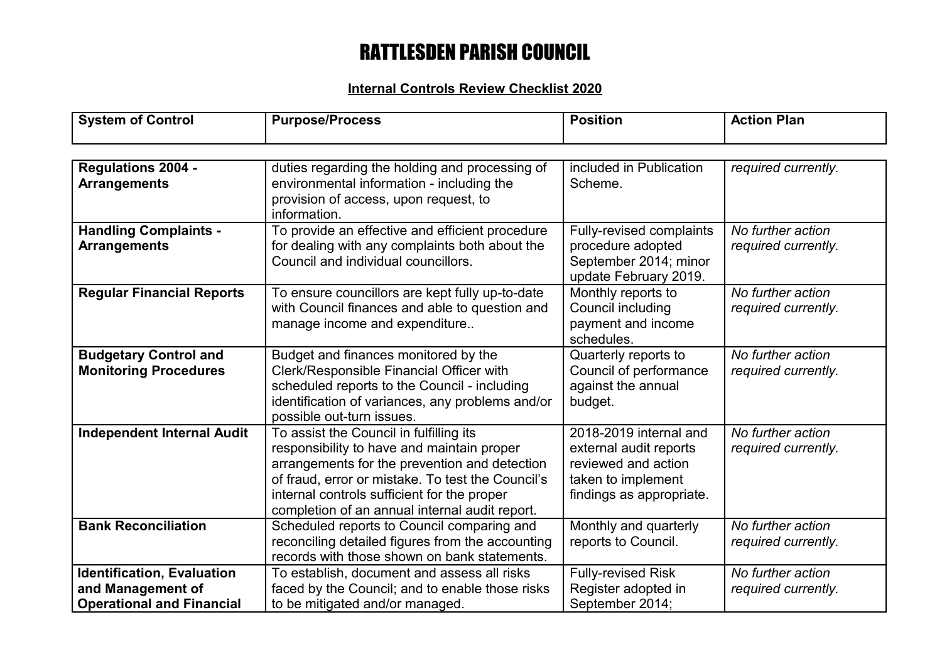# RATTLESDEN PARISH COUNCIL

### **Internal Controls Review Checklist 2020**

| <b>System of Control</b>                                                                   | <b>Purpose/Process</b>                                                                                                                                                                                                                                                                       | <b>Position</b>                                                                                                           | <b>Action Plan</b>                       |
|--------------------------------------------------------------------------------------------|----------------------------------------------------------------------------------------------------------------------------------------------------------------------------------------------------------------------------------------------------------------------------------------------|---------------------------------------------------------------------------------------------------------------------------|------------------------------------------|
|                                                                                            |                                                                                                                                                                                                                                                                                              |                                                                                                                           |                                          |
| <b>Regulations 2004 -</b><br><b>Arrangements</b>                                           | duties regarding the holding and processing of<br>environmental information - including the<br>provision of access, upon request, to<br>information.                                                                                                                                         | included in Publication<br>Scheme.                                                                                        | required currently.                      |
| <b>Handling Complaints -</b><br><b>Arrangements</b>                                        | To provide an effective and efficient procedure<br>for dealing with any complaints both about the<br>Council and individual councillors.                                                                                                                                                     | <b>Fully-revised complaints</b><br>procedure adopted<br>September 2014; minor<br>update February 2019.                    | No further action<br>required currently. |
| <b>Regular Financial Reports</b>                                                           | To ensure councillors are kept fully up-to-date<br>with Council finances and able to question and<br>manage income and expenditure                                                                                                                                                           | Monthly reports to<br>Council including<br>payment and income<br>schedules.                                               | No further action<br>required currently. |
| <b>Budgetary Control and</b><br><b>Monitoring Procedures</b>                               | Budget and finances monitored by the<br>Clerk/Responsible Financial Officer with<br>scheduled reports to the Council - including<br>identification of variances, any problems and/or<br>possible out-turn issues.                                                                            | Quarterly reports to<br>Council of performance<br>against the annual<br>budget.                                           | No further action<br>required currently. |
| <b>Independent Internal Audit</b>                                                          | To assist the Council in fulfilling its<br>responsibility to have and maintain proper<br>arrangements for the prevention and detection<br>of fraud, error or mistake. To test the Council's<br>internal controls sufficient for the proper<br>completion of an annual internal audit report. | 2018-2019 internal and<br>external audit reports<br>reviewed and action<br>taken to implement<br>findings as appropriate. | No further action<br>required currently. |
| <b>Bank Reconciliation</b>                                                                 | Scheduled reports to Council comparing and<br>reconciling detailed figures from the accounting<br>records with those shown on bank statements.                                                                                                                                               | Monthly and quarterly<br>reports to Council.                                                                              | No further action<br>required currently. |
| <b>Identification, Evaluation</b><br>and Management of<br><b>Operational and Financial</b> | To establish, document and assess all risks<br>faced by the Council; and to enable those risks<br>to be mitigated and/or managed.                                                                                                                                                            | <b>Fully-revised Risk</b><br>Register adopted in<br>September 2014;                                                       | No further action<br>required currently. |